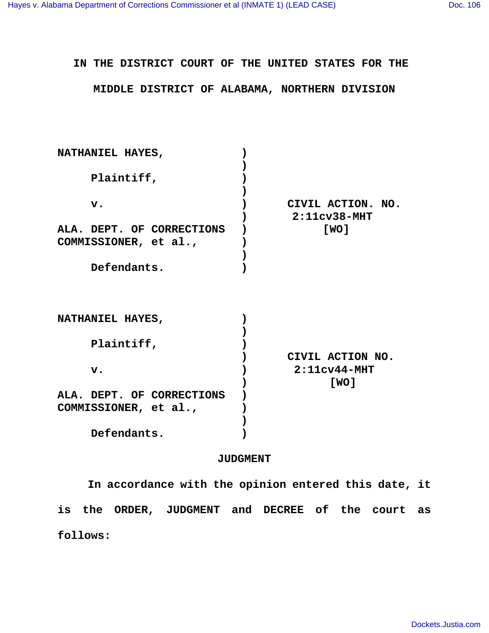## **IN THE DISTRICT COURT OF THE UNITED STATES FOR THE**

## **MIDDLE DISTRICT OF ALABAMA, NORTHERN DIVISION**

| NATHANIEL HAYES,<br>Plaintiff, |                   |
|--------------------------------|-------------------|
|                                |                   |
|                                |                   |
|                                |                   |
| $\mathbf v$ .                  | CIVIL ACTION. NO. |
|                                | $2:11cv38-MHT$    |
| ALA. DEPT. OF CORRECTIONS      | [ WO ]            |
| COMMISSIONER, et al.,          |                   |
|                                |                   |
| Defendants.                    |                   |
|                                |                   |
| NATHANIEL HAYES,               |                   |
|                                |                   |
| Plaintiff,                     |                   |
|                                | CIVIL ACTION NO.  |
| $\mathbf v$ .                  | $2:11cv44-MHT$    |
|                                | [ WO ]            |
| ALA. DEPT. OF CORRECTIONS      |                   |
| COMMISSIONER, et al.,          |                   |
|                                |                   |
|                                |                   |

## **JUDGMENT**

 **Defendants. )**

 **In accordance with the opinion entered this date, it is the ORDER, JUDGMENT and DECREE of the court as follows:**